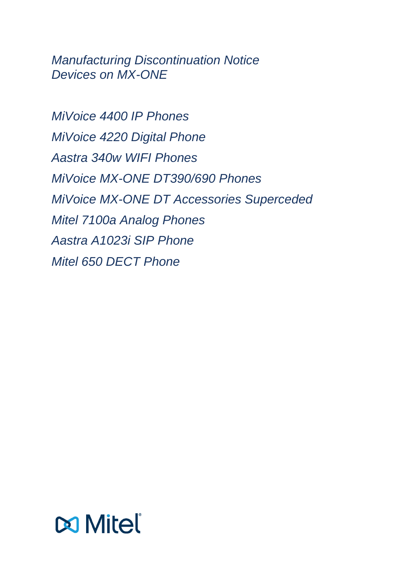*Manufacturing Discontinuation Notice Devices on MX-ONE*

*MiVoice 4400 IP Phones MiVoice 4220 Digital Phone Aastra 340w WIFI Phones MiVoice MX-ONE DT390/690 Phones MiVoice MX-ONE DT Accessories Superceded Mitel 7100a Analog Phones Aastra A1023i SIP Phone Mitel 650 DECT Phone* 

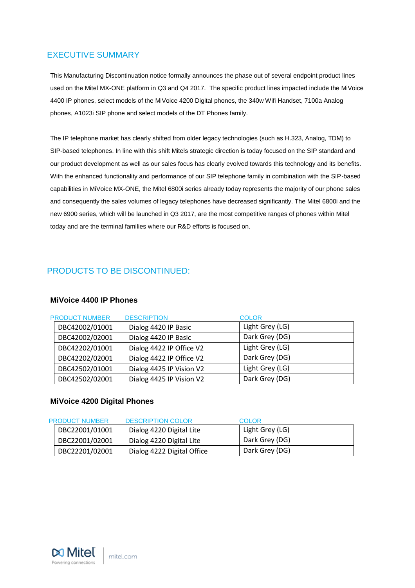# <span id="page-2-0"></span>EXECUTIVE SUMMARY

This Manufacturing Discontinuation notice formally announces the phase out of several endpoint product lines used on the Mitel MX-ONE platform in Q3 and Q4 2017. The specific product lines impacted include the MiVoice 4400 IP phones, select models of the MiVoice 4200 Digital phones, the 340w Wifi Handset, 7100a Analog phones, A1023i SIP phone and select models of the DT Phones family.

The IP telephone market has clearly shifted from older legacy technologies (such as H.323, Analog, TDM) to SIP-based telephones. In line with this shift Mitels strategic direction is today focused on the SIP standard and our product development as well as our sales focus has clearly evolved towards this technology and its benefits. With the enhanced functionality and performance of our SIP telephone family in combination with the SIP-based capabilities in MiVoice MX-ONE, the Mitel 6800i series already today represents the majority of our phone sales and consequently the sales volumes of legacy telephones have decreased significantly. The Mitel 6800i and the new 6900 series, which will be launched in Q3 2017, are the most competitive ranges of phones within Mitel today and are the terminal families where our R&D efforts is focused on.

# <span id="page-2-1"></span>PRODUCTS TO BE DISCONTINUED:

### **MiVoice 4400 IP Phones**

| <b>PRODUCT NUMBER</b> | <b>DESCRIPTION</b>       | <b>COLOR</b>    |
|-----------------------|--------------------------|-----------------|
| DBC42002/01001        | Dialog 4420 IP Basic     | Light Grey (LG) |
| DBC42002/02001        | Dialog 4420 IP Basic     | Dark Grey (DG)  |
| DBC42202/01001        | Dialog 4422 IP Office V2 | Light Grey (LG) |
| DBC42202/02001        | Dialog 4422 IP Office V2 | Dark Grey (DG)  |
| DBC42502/01001        | Dialog 4425 IP Vision V2 | Light Grey (LG) |
| DBC42502/02001        | Dialog 4425 IP Vision V2 | Dark Grey (DG)  |

### **MiVoice 4200 Digital Phones**

| <b>PRODUCT NUMBER</b> | DESCRIPTION COLOR          | COLOR.          |
|-----------------------|----------------------------|-----------------|
| DBC22001/01001        | Dialog 4220 Digital Lite   | Light Grey (LG) |
| DBC22001/02001        | Dialog 4220 Digital Lite   | Dark Grey (DG)  |
| DBC22201/02001        | Dialog 4222 Digital Office | Dark Grey (DG)  |

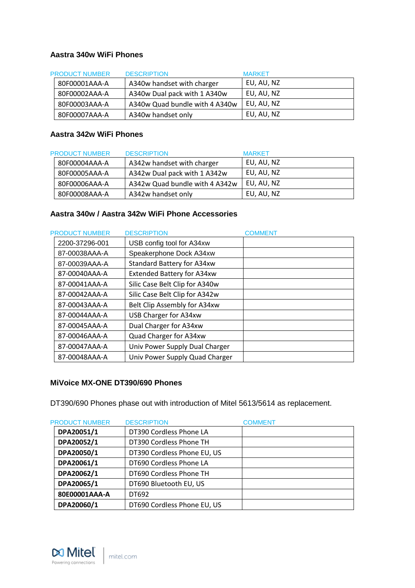### **Aastra 340w WiFi Phones**

| <b>PRODUCT NUMBER</b> | <b>DESCRIPTION</b>             | <b>MARKET</b> |
|-----------------------|--------------------------------|---------------|
| 80F00001AAA-A         | A340w handset with charger     | EU, AU, NZ    |
| 80F00002AAA-A         | A340w Dual pack with 1 A340w   | EU, AU, NZ    |
| 80F00003AAA-A         | A340w Quad bundle with 4 A340w | EU, AU, NZ    |
| 80F00007AAA-A         | A340w handset only             | EU, AU, NZ    |

## **Aastra 342w WiFi Phones**

| <b>PRODUCT NUMBER</b> | <b>DESCRIPTION</b>             | <b>MARKET</b> |
|-----------------------|--------------------------------|---------------|
| 80F00004AAA-A         | A342w handset with charger     | EU, AU, NZ    |
| 80F00005AAA-A         | A342w Dual pack with 1 A342w   | EU, AU, NZ    |
| 80F00006AAA-A         | A342w Quad bundle with 4 A342w | EU, AU, NZ    |
| 80F00008AAA-A         | A342w handset only             | EU, AU, NZ    |

## **Aastra 340w / Aastra 342w WiFi Phone Accessories**

| <b>PRODUCT NUMBER</b> | <b>DESCRIPTION</b>                | <b>COMMENT</b> |
|-----------------------|-----------------------------------|----------------|
| 2200-37296-001        | USB config tool for A34xw         |                |
| 87-00038AAA-A         | Speakerphone Dock A34xw           |                |
| 87-00039AAA-A         | <b>Standard Battery for A34xw</b> |                |
| 87-00040AAA-A         | <b>Extended Battery for A34xw</b> |                |
| 87-00041AAA-A         | Silic Case Belt Clip for A340w    |                |
| 87-00042AAA-A         | Silic Case Belt Clip for A342w    |                |
| 87-00043AAA-A         | Belt Clip Assembly for A34xw      |                |
| 87-00044AAA-A         | USB Charger for A34xw             |                |
| 87-00045AAA-A         | Dual Charger for A34xw            |                |
| 87-00046AAA-A         | Quad Charger for A34xw            |                |
| 87-00047AAA-A         | Univ Power Supply Dual Charger    |                |
| 87-00048AAA-A         | Univ Power Supply Quad Charger    |                |

### **MiVoice MX-ONE DT390/690 Phones**

DT390/690 Phones phase out with introduction of Mitel 5613/5614 as replacement.

| <b>PRODUCT NUMBER</b> | <b>DESCRIPTION</b>          | <b>COMMENT</b> |
|-----------------------|-----------------------------|----------------|
| DPA20051/1            | DT390 Cordless Phone LA     |                |
| DPA20052/1            | DT390 Cordless Phone TH     |                |
| DPA20050/1            | DT390 Cordless Phone EU, US |                |
| DPA20061/1            | DT690 Cordless Phone LA     |                |
| DPA20062/1            | DT690 Cordless Phone TH     |                |
| DPA20065/1            | DT690 Bluetooth EU, US      |                |
| 80E00001AAA-A         | DT692                       |                |
| DPA20060/1            | DT690 Cordless Phone EU, US |                |

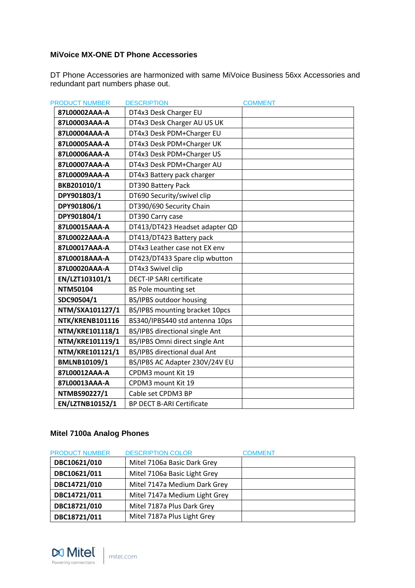## **MiVoice MX-ONE DT Phone Accessories**

DT Phone Accessories are harmonized with same MiVoice Business 56xx Accessories and redundant part numbers phase out.

| <b>PRODUCT NUMBER</b> | <b>DESCRIPTION</b>               | <b>COMMENT</b> |
|-----------------------|----------------------------------|----------------|
| 87L00002AAA-A         | DT4x3 Desk Charger EU            |                |
| 87L00003AAA-A         | DT4x3 Desk Charger AU US UK      |                |
| 87L00004AAA-A         | DT4x3 Desk PDM+Charger EU        |                |
| 87L00005AAA-A         | DT4x3 Desk PDM+Charger UK        |                |
| 87L00006AAA-A         | DT4x3 Desk PDM+Charger US        |                |
| 87L00007AAA-A         | DT4x3 Desk PDM+Charger AU        |                |
| 87L00009AAA-A         | DT4x3 Battery pack charger       |                |
| BKB201010/1           | DT390 Battery Pack               |                |
| DPY901803/1           | DT690 Security/swivel clip       |                |
| DPY901806/1           | DT390/690 Security Chain         |                |
| DPY901804/1           | DT390 Carry case                 |                |
| 87L00015AAA-A         | DT413/DT423 Headset adapter QD   |                |
| 87L00022AAA-A         | DT413/DT423 Battery pack         |                |
| 87L00017AAA-A         | DT4x3 Leather case not EX env    |                |
| 87L00018AAA-A         | DT423/DT433 Spare clip wbutton   |                |
| 87L00020AAA-A         | DT4x3 Swivel clip                |                |
| EN/LZT103101/1        | <b>DECT-IP SARI certificate</b>  |                |
| <b>NTM50104</b>       | BS Pole mounting set             |                |
| SDC90504/1            | BS/IPBS outdoor housing          |                |
| NTM/SXA101127/1       | BS/IPBS mounting bracket 10pcs   |                |
| NTK/KRENB101116       | BS340/IPBS440 std antenna 10ps   |                |
| NTM/KRE101118/1       | BS/IPBS directional single Ant   |                |
| NTM/KRE101119/1       | BS/IPBS Omni direct single Ant   |                |
| NTM/KRE101121/1       | BS/IPBS directional dual Ant     |                |
| BMLNB10109/1          | BS/IPBS AC Adapter 230V/24V EU   |                |
| 87L00012AAA-A         | CPDM3 mount Kit 19               |                |
| 87L00013AAA-A         | CPDM3 mount Kit 19               |                |
| NTMBS90227/1          | Cable set CPDM3 BP               |                |
| EN/LZTNB10152/1       | <b>BP DECT B-ARI Certificate</b> |                |

# **Mitel 7100a Analog Phones**

| <b>PRODUCT NUMBER</b> | <b>DESCRIPTION COLOR</b>      | <b>COMMENT</b> |
|-----------------------|-------------------------------|----------------|
| DBC10621/010          | Mitel 7106a Basic Dark Grey   |                |
| DBC10621/011          | Mitel 7106a Basic Light Grey  |                |
| DBC14721/010          | Mitel 7147a Medium Dark Grey  |                |
| DBC14721/011          | Mitel 7147a Medium Light Grey |                |
| DBC18721/010          | Mitel 7187a Plus Dark Grey    |                |
| DBC18721/011          | Mitel 7187a Plus Light Grey   |                |

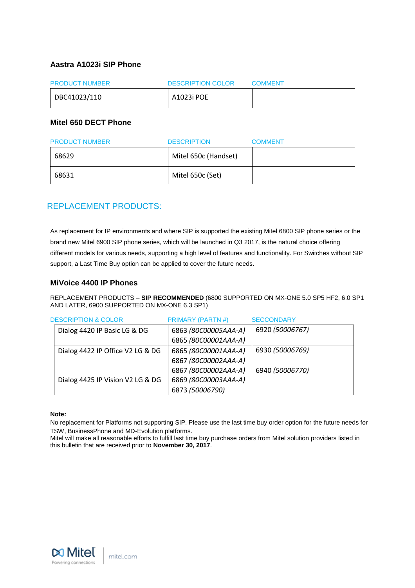#### **Aastra A1023i SIP Phone**

| <b>PRODUCT NUMBER</b> | <b>DESCRIPTION COLOR</b> | <b>COMMENT</b> |
|-----------------------|--------------------------|----------------|
| DBC41023/110          | A1023i POE               |                |

#### **Mitel 650 DECT Phone**

| <b>PRODUCT NUMBER</b> | <b>DESCRIPTION</b>   | <b>COMMENT</b> |
|-----------------------|----------------------|----------------|
| 68629                 | Mitel 650c (Handset) |                |
| 68631                 | Mitel 650c (Set)     |                |

# <span id="page-5-0"></span>REPLACEMENT PRODUCTS:

As replacement for IP environments and where SIP is supported the existing Mitel 6800 SIP phone series or the brand new Mitel 6900 SIP phone series, which will be launched in Q3 2017, is the natural choice offering different models for various needs, supporting a high level of features and functionality. For Switches without SIP support, a Last Time Buy option can be applied to cover the future needs.

#### **MiVoice 4400 IP Phones**

REPLACEMENT PRODUCTS – **SIP RECOMMENDED** (6800 SUPPORTED ON MX-ONE 5.0 SP5 HF2, 6.0 SP1 AND LATER, 6900 SUPPORTED ON MX-ONE 6.3 SP1)

| <b>DESCRIPTION &amp; COLOR</b>   | <b>PRIMARY (PARTN#)</b> | <b>SECCONDARY</b> |
|----------------------------------|-------------------------|-------------------|
| Dialog 4420 IP Basic LG & DG     | 6863 (80C00005AAA-A)    | 6920 (50006767)   |
|                                  | 6865 (80C00001AAA-A)    |                   |
| Dialog 4422 IP Office V2 LG & DG | 6865 (80C00001AAA-A)    | 6930 (50006769)   |
|                                  | 6867 (80C00002AAA-A)    |                   |
|                                  | 6867 (80C00002AAA-A)    | 6940 (50006770)   |
| Dialog 4425 IP Vision V2 LG & DG | 6869 (80C00003AAA-A)    |                   |
|                                  | 6873 (50006790)         |                   |

#### **Note:**

No replacement for Platforms not supporting SIP. Please use the last time buy order option for the future needs for TSW, BusinessPhone and MD-Evolution platforms.

Mitel will make all reasonable efforts to fulfill last time buy purchase orders from Mitel solution providers listed in this bulletin that are received prior to **November 30, 2017**.

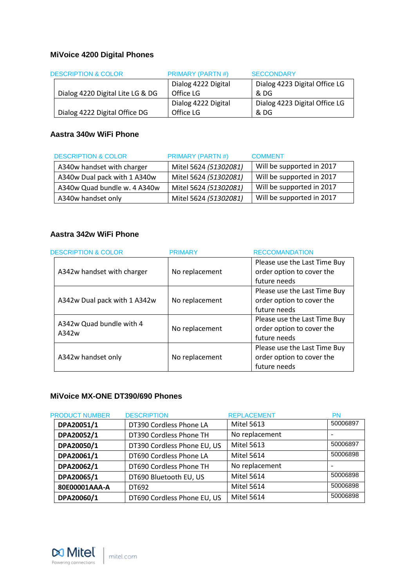# **MiVoice 4200 Digital Phones**

| <b>DESCRIPTION &amp; COLOR</b>   | <b>PRIMARY (PARTN#)</b> | <b>SECCONDARY</b>             |
|----------------------------------|-------------------------|-------------------------------|
|                                  | Dialog 4222 Digital     | Dialog 4223 Digital Office LG |
| Dialog 4220 Digital Lite LG & DG | Office LG               | & DG                          |
|                                  | Dialog 4222 Digital     | Dialog 4223 Digital Office LG |
| Dialog 4222 Digital Office DG    | Office LG               | & DG                          |

# **Aastra 340w WiFi Phone**

| <b>DESCRIPTION &amp; COLOR</b> | <b>PRIMARY (PARTN#)</b> | <b>COMMENT</b>            |
|--------------------------------|-------------------------|---------------------------|
| A340w handset with charger     | Mitel 5624 (51302081)   | Will be supported in 2017 |
| A340w Dual pack with 1 A340w   | Mitel 5624 (51302081)   | Will be supported in 2017 |
| A340w Quad bundle w. 4 A340w   | Mitel 5624 (51302081)   | Will be supported in 2017 |
| A340w handset only             | Mitel 5624 (51302081)   | Will be supported in 2017 |

## **Aastra 342w WiFi Phone**

| <b>DESCRIPTION &amp; COLOR</b> | <b>PRIMARY</b> | <b>RECCOMANDATION</b>        |
|--------------------------------|----------------|------------------------------|
|                                |                | Please use the Last Time Buy |
| A342w handset with charger     | No replacement | order option to cover the    |
|                                |                | future needs                 |
|                                |                | Please use the Last Time Buy |
| A342w Dual pack with 1 A342w   | No replacement | order option to cover the    |
|                                |                | future needs                 |
| A342w Quad bundle with 4       |                | Please use the Last Time Buy |
| A342w                          | No replacement | order option to cover the    |
|                                |                | future needs                 |
|                                |                | Please use the Last Time Buy |
| A342w handset only             | No replacement | order option to cover the    |
|                                |                | future needs                 |

# **MiVoice MX-ONE DT390/690 Phones**

| <b>PRODUCT NUMBER</b> | <b>DESCRIPTION</b>          | <b>REPLACEMENT</b> | PN       |
|-----------------------|-----------------------------|--------------------|----------|
| DPA20051/1            | DT390 Cordless Phone LA     | <b>Mitel 5613</b>  | 50006897 |
| DPA20052/1            | DT390 Cordless Phone TH     | No replacement     |          |
| DPA20050/1            | DT390 Cordless Phone EU, US | <b>Mitel 5613</b>  | 50006897 |
| DPA20061/1            | DT690 Cordless Phone LA     | <b>Mitel 5614</b>  | 50006898 |
| DPA20062/1            | DT690 Cordless Phone TH     | No replacement     |          |
| DPA20065/1            | DT690 Bluetooth EU, US      | <b>Mitel 5614</b>  | 50006898 |
| 80E00001AAA-A         | DT692                       | <b>Mitel 5614</b>  | 50006898 |
| DPA20060/1            | DT690 Cordless Phone EU, US | <b>Mitel 5614</b>  | 50006898 |

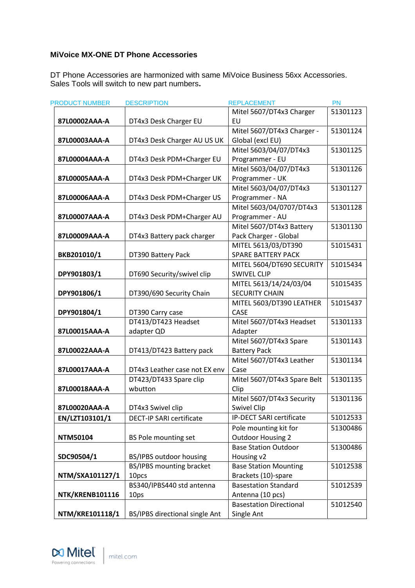### **MiVoice MX-ONE DT Phone Accessories**

DT Phone Accessories are harmonized with same MiVoice Business 56xx Accessories. Sales Tools will switch to new part numbers**.**

| <b>PRODUCT NUMBER</b> | <b>DESCRIPTION</b>             | <b>REPLACEMENT</b>             | <b>PN</b> |
|-----------------------|--------------------------------|--------------------------------|-----------|
|                       |                                | Mitel 5607/DT4x3 Charger       | 51301123  |
| 87L00002AAA-A         | DT4x3 Desk Charger EU          | EU                             |           |
|                       |                                | Mitel 5607/DT4x3 Charger -     | 51301124  |
| 87L00003AAA-A         | DT4x3 Desk Charger AU US UK    | Global (excl EU)               |           |
|                       |                                | Mitel 5603/04/07/DT4x3         | 51301125  |
| 87L00004AAA-A         | DT4x3 Desk PDM+Charger EU      | Programmer - EU                |           |
|                       |                                | Mitel 5603/04/07/DT4x3         | 51301126  |
| 87L00005AAA-A         | DT4x3 Desk PDM+Charger UK      | Programmer - UK                |           |
|                       |                                | Mitel 5603/04/07/DT4x3         | 51301127  |
| 87L00006AAA-A         | DT4x3 Desk PDM+Charger US      | Programmer - NA                |           |
|                       |                                | Mitel 5603/04/0707/DT4x3       | 51301128  |
| 87L00007AAA-A         | DT4x3 Desk PDM+Charger AU      | Programmer - AU                |           |
|                       |                                | Mitel 5607/DT4x3 Battery       | 51301130  |
| 87L00009AAA-A         | DT4x3 Battery pack charger     | Pack Charger - Global          |           |
|                       |                                | MITEL 5613/03/DT390            | 51015431  |
| BKB201010/1           | DT390 Battery Pack             | <b>SPARE BATTERY PACK</b>      |           |
|                       |                                | MITEL 5604/DT690 SECURITY      | 51015434  |
| DPY901803/1           | DT690 Security/swivel clip     | <b>SWIVEL CLIP</b>             |           |
|                       |                                | MITEL 5613/14/24/03/04         | 51015435  |
| DPY901806/1           | DT390/690 Security Chain       | <b>SECURITY CHAIN</b>          |           |
|                       |                                | MITEL 5603/DT390 LEATHER       | 51015437  |
| DPY901804/1           | DT390 Carry case               | CASE                           |           |
|                       | DT413/DT423 Headset            | Mitel 5607/DT4x3 Headset       | 51301133  |
| 87L00015AAA-A         | adapter QD                     | Adapter                        |           |
|                       |                                | Mitel 5607/DT4x3 Spare         | 51301143  |
| 87L00022AAA-A         | DT413/DT423 Battery pack       | <b>Battery Pack</b>            |           |
|                       |                                | Mitel 5607/DT4x3 Leather       | 51301134  |
| 87L00017AAA-A         | DT4x3 Leather case not EX env  | Case                           |           |
|                       | DT423/DT433 Spare clip         | Mitel 5607/DT4x3 Spare Belt    | 51301135  |
| 87L00018AAA-A         | wbutton                        | Clip                           |           |
|                       |                                | Mitel 5607/DT4x3 Security      | 51301136  |
| 87L00020AAA-A         | DT4x3 Swivel clip              | <b>Swivel Clip</b>             |           |
| EN/LZT103101/1        | DECT-IP SARI certificate       | IP-DECT SARI certificate       | 51012533  |
|                       |                                | Pole mounting kit for          | 51300486  |
| <b>NTM50104</b>       | <b>BS Pole mounting set</b>    | <b>Outdoor Housing 2</b>       |           |
|                       |                                | <b>Base Station Outdoor</b>    | 51300486  |
| SDC90504/1            | BS/IPBS outdoor housing        | Housing v2                     |           |
|                       | BS/IPBS mounting bracket       | <b>Base Station Mounting</b>   | 51012538  |
| NTM/SXA101127/1       | 10pcs                          | Brackets (10)-spare            |           |
|                       | BS340/IPBS440 std antenna      | <b>Basestation Standard</b>    | 51012539  |
| NTK/KRENB101116       | 10ps                           | Antenna (10 pcs)               |           |
|                       |                                | <b>Basestation Directional</b> | 51012540  |
| NTM/KRE101118/1       | BS/IPBS directional single Ant | Single Ant                     |           |

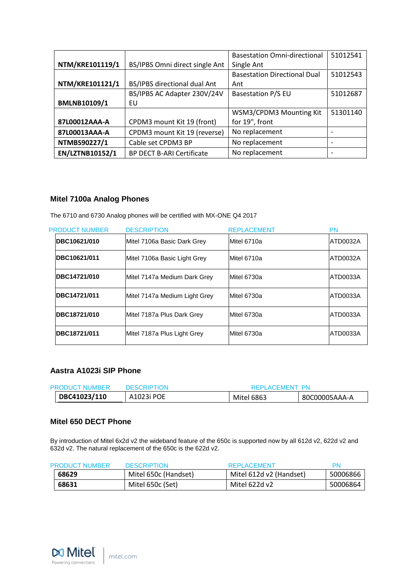|                 |                                  | <b>Basestation Omni-directional</b> | 51012541                 |
|-----------------|----------------------------------|-------------------------------------|--------------------------|
| NTM/KRE101119/1 | BS/IPBS Omni direct single Ant   | Single Ant                          |                          |
|                 |                                  | <b>Basestation Directional Dual</b> | 51012543                 |
| NTM/KRE101121/1 | BS/IPBS directional dual Ant     | Ant                                 |                          |
|                 | BS/IPBS AC Adapter 230V/24V      | <b>Basestation P/S EU</b>           | 51012687                 |
| BMLNB10109/1    | EU                               |                                     |                          |
|                 |                                  | WSM3/CPDM3 Mounting Kit             | 51301140                 |
| 87L00012AAA-A   | CPDM3 mount Kit 19 (front)       | for 19", front                      |                          |
| 87L00013AAA-A   | CPDM3 mount Kit 19 (reverse)     | No replacement                      | $\overline{\phantom{0}}$ |
| NTMBS90227/1    | Cable set CPDM3 BP               | No replacement                      | $\overline{\phantom{0}}$ |
| EN/LZTNB10152/1 | <b>BP DECT B-ARI Certificate</b> | No replacement                      | $\overline{\phantom{a}}$ |

### **Mitel 7100a Analog Phones**

The 6710 and 6730 Analog phones will be certified with MX-ONE Q4 2017

| <b>PRODUCT NUMBER</b> | <b>DESCRIPTION</b>            | <b>REPLACEMENT</b> | PN       |
|-----------------------|-------------------------------|--------------------|----------|
| DBC10621/010          | Mitel 7106a Basic Dark Grey   | Mitel 6710a        | ATD0032A |
| DBC10621/011          | Mitel 7106a Basic Light Grey  | Mitel 6710a        | ATD0032A |
| DBC14721/010          | Mitel 7147a Medium Dark Grey  | Mitel 6730a        | ATD0033A |
| DBC14721/011          | Mitel 7147a Medium Light Grey | Mitel 6730a        | ATD0033A |
| DBC18721/010          | Mitel 7187a Plus Dark Grey    | Mitel 6730a        | ATD0033A |
| DBC18721/011          | Mitel 7187a Plus Light Grey   | Mitel 6730a        | ATD0033A |

#### **Aastra A1023i SIP Phone**

| <b>PRODUCT NUMBER</b> | <b>DESCRIPTION</b><br>REPLACEMENT PN |            |               |
|-----------------------|--------------------------------------|------------|---------------|
| DBC41023/110          | A1023i POE                           | Mitel 6863 | 80C00005AAA-A |

#### **Mitel 650 DECT Phone**

By introduction of Mitel 6x2d v2 the wideband feature of the 650c is supported now by all 612d v2, 622d v2 and 632d v2. The natural replacement of the 650c is the 622d v2.

| <b>PRODUCT NUMBER</b> | <b>DESCRIPTION</b>   | <b>REPLACEMENT</b>      | PN       |
|-----------------------|----------------------|-------------------------|----------|
| 68629                 | Mitel 650c (Handset) | Mitel 612d v2 (Handset) | 50006866 |
| 68631                 | Mitel 650c (Set)     | Mitel 622d v2           | 50006864 |

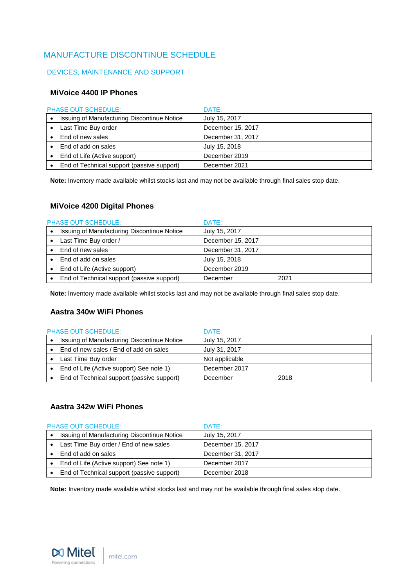# <span id="page-9-0"></span>MANUFACTURE DISCONTINUE SCHEDULE

#### <span id="page-9-1"></span>DEVICES, MAINTENANCE AND SUPPORT

#### **MiVoice 4400 IP Phones**

|   | <b>PHASE OUT SCHEDULE:</b>                  | DATE:             |
|---|---------------------------------------------|-------------------|
|   | Issuing of Manufacturing Discontinue Notice | July 15, 2017     |
|   | Last Time Buy order                         | December 15, 2017 |
|   | End of new sales                            | December 31, 2017 |
|   | End of add on sales                         | July 15, 2018     |
| ٠ | End of Life (Active support)                | December 2019     |
|   | End of Technical support (passive support)  | December 2021     |

**Note:** Inventory made available whilst stocks last and may not be available through final sales stop date.

### **MiVoice 4200 Digital Phones**

| <b>PHASE OUT SCHEDULE:</b>                  | DATE:             |      |
|---------------------------------------------|-------------------|------|
| Issuing of Manufacturing Discontinue Notice | July 15, 2017     |      |
| Last Time Buy order /                       | December 15, 2017 |      |
| End of new sales                            | December 31, 2017 |      |
| End of add on sales                         | July 15, 2018     |      |
| End of Life (Active support)                | December 2019     |      |
| End of Technical support (passive support)  | December          | 2021 |

**Note:** Inventory made available whilst stocks last and may not be available through final sales stop date.

### **Aastra 340w WiFi Phones**

| <b>PHASE OUT SCHEDULE:</b>                  | DATE:          |      |
|---------------------------------------------|----------------|------|
| Issuing of Manufacturing Discontinue Notice | July 15, 2017  |      |
| End of new sales / End of add on sales      | July 31, 2017  |      |
| Last Time Buy order                         | Not applicable |      |
| End of Life (Active support) See note 1)    | December 2017  |      |
| End of Technical support (passive support)  | December       | 2018 |

### **Aastra 342w WiFi Phones**

| <b>PHASE OUT SCHEDULE:</b> |                                             | DATE:             |
|----------------------------|---------------------------------------------|-------------------|
|                            | Issuing of Manufacturing Discontinue Notice | July 15, 2017     |
|                            | Last Time Buy order / End of new sales      | December 15, 2017 |
|                            | End of add on sales                         | December 31, 2017 |
|                            | End of Life (Active support) See note 1)    | December 2017     |
|                            | End of Technical support (passive support)  | December 2018     |

**Note:** Inventory made available whilst stocks last and may not be available through final sales stop date.

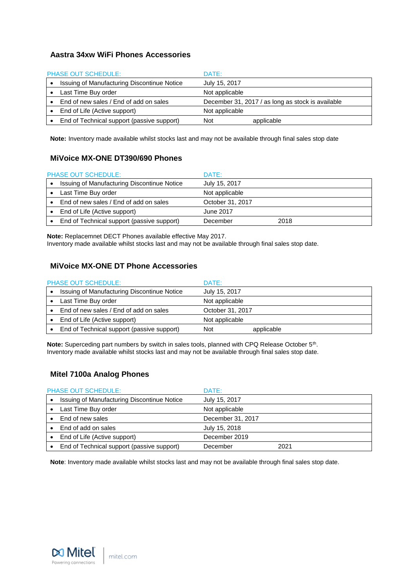### **Aastra 34xw WiFi Phones Accessories**

| <b>PHASE OUT SCHEDULE:</b> |                                             | DATE:                                             |            |  |
|----------------------------|---------------------------------------------|---------------------------------------------------|------------|--|
|                            | Issuing of Manufacturing Discontinue Notice | July 15, 2017                                     |            |  |
|                            | Last Time Buy order                         | Not applicable                                    |            |  |
|                            | End of new sales / End of add on sales      | December 31, 2017 / as long as stock is available |            |  |
|                            | End of Life (Active support)                | Not applicable                                    |            |  |
|                            | End of Technical support (passive support)  | <b>Not</b>                                        | applicable |  |

**Note:** Inventory made available whilst stocks last and may not be available through final sales stop date

### **MiVoice MX-ONE DT390/690 Phones**

| <b>PHASE OUT SCHEDULE:</b>                         | DATE:            |      |
|----------------------------------------------------|------------------|------|
| <b>Issuing of Manufacturing Discontinue Notice</b> | July 15, 2017    |      |
| Last Time Buy order                                | Not applicable   |      |
| End of new sales / End of add on sales             | October 31, 2017 |      |
| End of Life (Active support)                       | June 2017        |      |
| End of Technical support (passive support)         | December         | 2018 |

**Note:** Replacemnet DECT Phones available effective May 2017. Inventory made available whilst stocks last and may not be available through final sales stop date.

### **MiVoice MX-ONE DT Phone Accessories**

| <b>PHASE OUT SCHEDULE:</b> |                                             | DATE:            |            |
|----------------------------|---------------------------------------------|------------------|------------|
|                            | Issuing of Manufacturing Discontinue Notice | July 15, 2017    |            |
|                            | Last Time Buy order                         | Not applicable   |            |
|                            | End of new sales / End of add on sales      | October 31, 2017 |            |
|                            | End of Life (Active support)                | Not applicable   |            |
|                            | End of Technical support (passive support)  | <b>Not</b>       | applicable |

Note: Superceding part numbers by switch in sales tools, planned with CPQ Release October 5<sup>th</sup>. Inventory made available whilst stocks last and may not be available through final sales stop date.

### **Mitel 7100a Analog Phones**

| <b>PHASE OUT SCHEDULE:</b>                  | DATE:             |      |
|---------------------------------------------|-------------------|------|
| Issuing of Manufacturing Discontinue Notice | July 15, 2017     |      |
| Last Time Buy order                         | Not applicable    |      |
| End of new sales                            | December 31, 2017 |      |
| End of add on sales                         | July 15, 2018     |      |
| End of Life (Active support)                | December 2019     |      |
| End of Technical support (passive support)  | December          | 2021 |

**Note**: Inventory made available whilst stocks last and may not be available through final sales stop date.

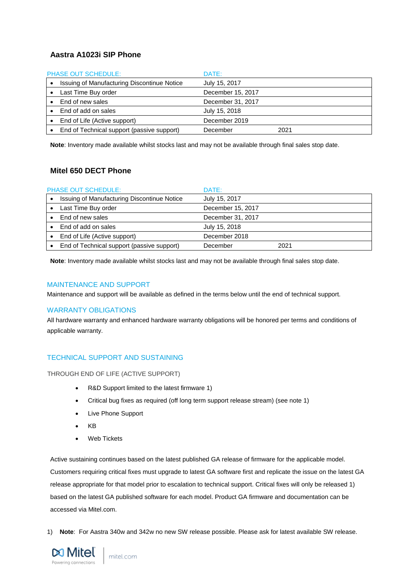### **Aastra A1023i SIP Phone**

| <b>PHASE OUT SCHEDULE:</b>                  | DATE:             |      |
|---------------------------------------------|-------------------|------|
| Issuing of Manufacturing Discontinue Notice | July 15, 2017     |      |
| Last Time Buy order                         | December 15, 2017 |      |
| End of new sales                            | December 31, 2017 |      |
| End of add on sales                         | July 15, 2018     |      |
| End of Life (Active support)                | December 2019     |      |
| End of Technical support (passive support)  | December          | 2021 |

**Note**: Inventory made available whilst stocks last and may not be available through final sales stop date.

### **Mitel 650 DECT Phone**

| <b>PHASE OUT SCHEDULE:</b> |                                             | DATE:             |      |
|----------------------------|---------------------------------------------|-------------------|------|
|                            | Issuing of Manufacturing Discontinue Notice | July 15, 2017     |      |
|                            | Last Time Buy order                         | December 15, 2017 |      |
|                            | End of new sales                            | December 31, 2017 |      |
|                            | End of add on sales                         | July 15, 2018     |      |
|                            | End of Life (Active support)                | December 2018     |      |
|                            | End of Technical support (passive support)  | December          | 2021 |

**Note**: Inventory made available whilst stocks last and may not be available through final sales stop date.

#### <span id="page-11-0"></span>MAINTENANCE AND SUPPORT

<span id="page-11-1"></span>Maintenance and support will be available as defined in the terms below until the end of technical support.

#### WARRANTY OBLIGATIONS

All hardware warranty and enhanced hardware warranty obligations will be honored per terms and conditions of applicable warranty.

#### <span id="page-11-2"></span>TECHNICAL SUPPORT AND SUSTAINING

<span id="page-11-3"></span>THROUGH END OF LIFE (ACTIVE SUPPORT)

- R&D Support limited to the latest firmware 1)
- Critical bug fixes as required (off long term support release stream) (see note 1)
- Live Phone Support
- KB
- Web Tickets

Active sustaining continues based on the latest published GA release of firmware for the applicable model. Customers requiring critical fixes must upgrade to latest GA software first and replicate the issue on the latest GA release appropriate for that model prior to escalation to technical support. Critical fixes will only be released 1) based on the latest GA published software for each model. Product GA firmware and documentation can be accessed via Mitel.com.

1) **Note**: For Aastra 340w and 342w no new SW release possible. Please ask for latest available SW release.